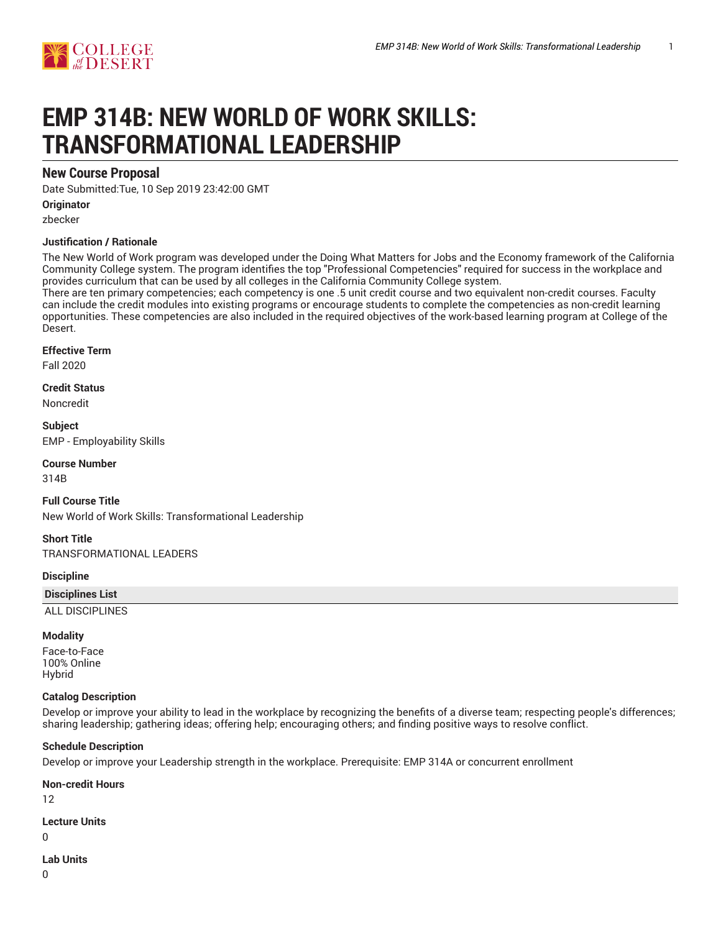# **EMP 314B: NEW WORLD OF WORK SKILLS: TRANSFORMATIONAL LEADERSHIP**

# **New Course Proposal**

Date Submitted:Tue, 10 Sep 2019 23:42:00 GMT

**Originator**

zbecker

## **Justification / Rationale**

The New World of Work program was developed under the Doing What Matters for Jobs and the Economy framework of the California Community College system. The program identifies the top "Professional Competencies" required for success in the workplace and provides curriculum that can be used by all colleges in the California Community College system.

There are ten primary competencies; each competency is one .5 unit credit course and two equivalent non-credit courses. Faculty can include the credit modules into existing programs or encourage students to complete the competencies as non-credit learning opportunities. These competencies are also included in the required objectives of the work-based learning program at College of the Desert.

#### **Effective Term**

Fall 2020

**Credit Status** Noncredit

**Subject** EMP - Employability Skills

**Course Number**

314B

**Full Course Title** New World of Work Skills: Transformational Leadership

**Short Title** TRANSFORMATIONAL LEADERS

**Discipline**

#### **Disciplines List**

ALL DISCIPLINES

#### **Modality**

Face-to-Face 100% Online Hybrid

#### **Catalog Description**

Develop or improve your ability to lead in the workplace by recognizing the benefits of a diverse team; respecting people's differences; sharing leadership; gathering ideas; offering help; encouraging others; and finding positive ways to resolve conflict.

#### **Schedule Description**

Develop or improve your Leadership strength in the workplace. Prerequisite: EMP 314A or concurrent enrollment

**Non-credit Hours**

12

**Lecture Units**

 $\Omega$ 

**Lab Units**

 $\overline{0}$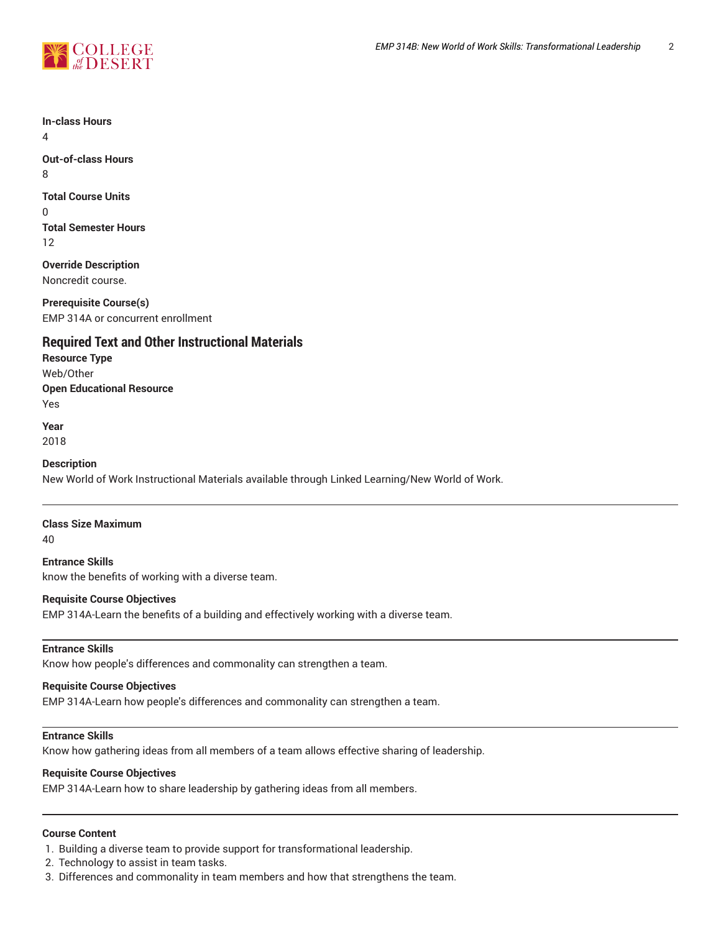

**In-class Hours**

4

**Out-of-class Hours** 8

**Total Course Units** 0 **Total Semester Hours** 12

**Override Description** Noncredit course.

**Prerequisite Course(s)** EMP 314A or concurrent enrollment

# **Required Text and Other Instructional Materials**

**Resource Type** Web/Other **Open Educational Resource** Yes

**Year**

2018

**Description**

New World of Work Instructional Materials available through Linked Learning/New World of Work.

**Class Size Maximum**

40

**Entrance Skills** know the benefits of working with a diverse team.

## **Requisite Course Objectives**

EMP 314A-Learn the benefits of a building and effectively working with a diverse team.

#### **Entrance Skills**

Know how people's differences and commonality can strengthen a team.

### **Requisite Course Objectives**

EMP 314A-Learn how people's differences and commonality can strengthen a team.

## **Entrance Skills**

Know how gathering ideas from all members of a team allows effective sharing of leadership.

### **Requisite Course Objectives**

EMP 314A-Learn how to share leadership by gathering ideas from all members.

## **Course Content**

1. Building a diverse team to provide support for transformational leadership.

- 2. Technology to assist in team tasks.
- 3. Differences and commonality in team members and how that strengthens the team.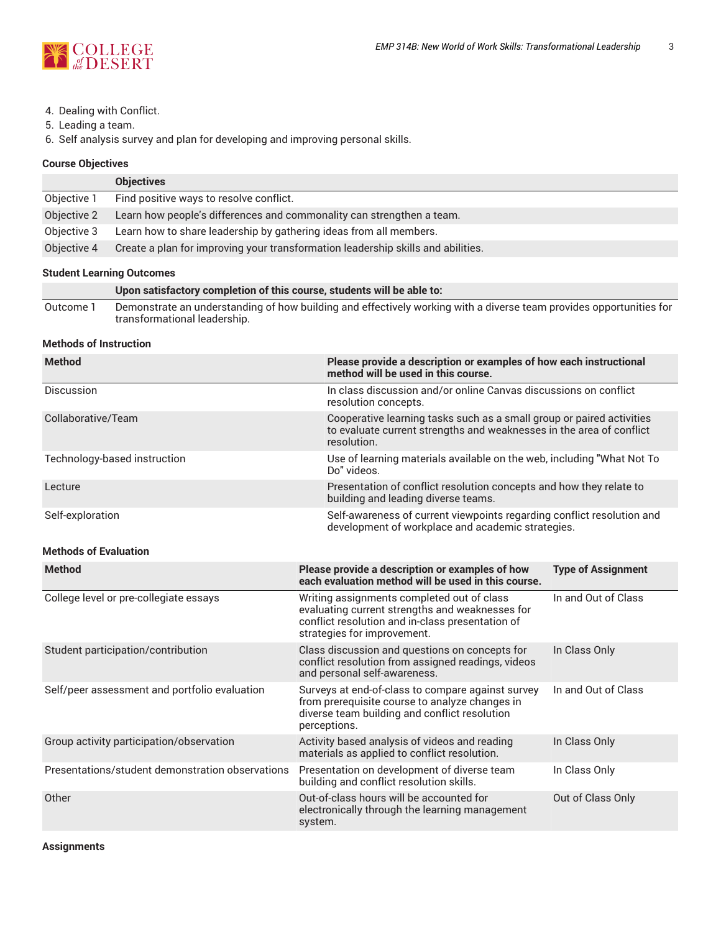

- 4. Dealing with Conflict.
- 5. Leading a team.

6. Self analysis survey and plan for developing and improving personal skills.

## **Course Objectives**

|             | <b>Objectives</b>                                                                |
|-------------|----------------------------------------------------------------------------------|
| Objective 1 | Find positive ways to resolve conflict.                                          |
| Objective 2 | Learn how people's differences and commonality can strengthen a team.            |
| Objective 3 | Learn how to share leadership by gathering ideas from all members.               |
| Objective 4 | Create a plan for improving your transformation leadership skills and abilities. |

## **Student Learning Outcomes**

|           | Upon satisfactory completion of this course, students will be able to:                                              |
|-----------|---------------------------------------------------------------------------------------------------------------------|
| Outcome 1 | Demonstrate an understanding of how building and effectively working with a diverse team provides opportunities for |
|           | transformational leadership.                                                                                        |

## **Methods of Instruction**

| <b>Method</b>                | Please provide a description or examples of how each instructional<br>method will be used in this course.                                                    |
|------------------------------|--------------------------------------------------------------------------------------------------------------------------------------------------------------|
| Discussion                   | In class discussion and/or online Canvas discussions on conflict<br>resolution concepts.                                                                     |
| Collaborative/Team           | Cooperative learning tasks such as a small group or paired activities<br>to evaluate current strengths and weaknesses in the area of conflict<br>resolution. |
| Technology-based instruction | Use of learning materials available on the web, including "What Not To<br>Do" videos.                                                                        |
| Lecture                      | Presentation of conflict resolution concepts and how they relate to<br>building and leading diverse teams.                                                   |
| Self-exploration             | Self-awareness of current viewpoints regarding conflict resolution and<br>development of workplace and academic strategies.                                  |

## **Methods of Evaluation**

| <b>Method</b>                                    | Please provide a description or examples of how<br>each evaluation method will be used in this course.                                                                           | <b>Type of Assignment</b> |
|--------------------------------------------------|----------------------------------------------------------------------------------------------------------------------------------------------------------------------------------|---------------------------|
| College level or pre-collegiate essays           | Writing assignments completed out of class<br>evaluating current strengths and weaknesses for<br>conflict resolution and in-class presentation of<br>strategies for improvement. | In and Out of Class       |
| Student participation/contribution               | Class discussion and questions on concepts for<br>conflict resolution from assigned readings, videos<br>and personal self-awareness.                                             | In Class Only             |
| Self/peer assessment and portfolio evaluation    | Surveys at end-of-class to compare against survey<br>from prerequisite course to analyze changes in<br>diverse team building and conflict resolution<br>perceptions.             | In and Out of Class       |
| Group activity participation/observation         | Activity based analysis of videos and reading<br>materials as applied to conflict resolution.                                                                                    | In Class Only             |
| Presentations/student demonstration observations | Presentation on development of diverse team<br>building and conflict resolution skills.                                                                                          | In Class Only             |
| Other                                            | Out-of-class hours will be accounted for<br>electronically through the learning management<br>system.                                                                            | Out of Class Only         |

**Assignments**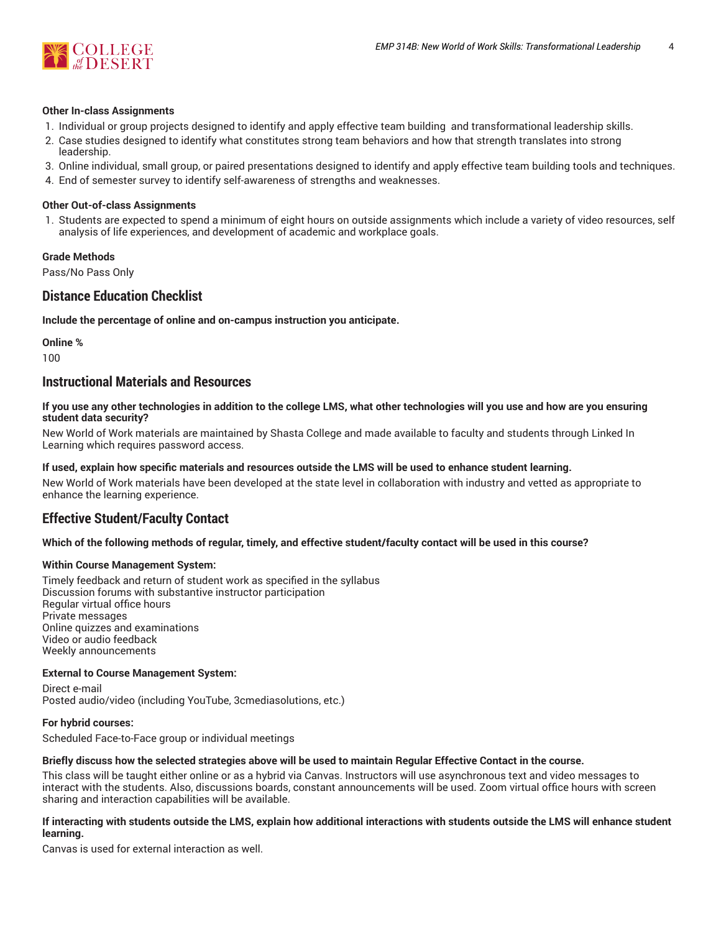

#### **Other In-class Assignments**

- 1. Individual or group projects designed to identify and apply effective team building and transformational leadership skills.
- 2. Case studies designed to identify what constitutes strong team behaviors and how that strength translates into strong leadership.
- 3. Online individual, small group, or paired presentations designed to identify and apply effective team building tools and techniques.
- 4. End of semester survey to identify self-awareness of strengths and weaknesses.

#### **Other Out-of-class Assignments**

1. Students are expected to spend a minimum of eight hours on outside assignments which include a variety of video resources, self analysis of life experiences, and development of academic and workplace goals.

#### **Grade Methods**

Pass/No Pass Only

# **Distance Education Checklist**

**Include the percentage of online and on-campus instruction you anticipate.**

**Online %**

100

# **Instructional Materials and Resources**

If you use any other technologies in addition to the college LMS, what other technologies will you use and how are you ensuring **student data security?**

New World of Work materials are maintained by Shasta College and made available to faculty and students through Linked In Learning which requires password access.

#### **If used, explain how specific materials and resources outside the LMS will be used to enhance student learning.**

New World of Work materials have been developed at the state level in collaboration with industry and vetted as appropriate to enhance the learning experience.

# **Effective Student/Faculty Contact**

#### Which of the following methods of regular, timely, and effective student/faculty contact will be used in this course?

#### **Within Course Management System:**

Timely feedback and return of student work as specified in the syllabus Discussion forums with substantive instructor participation Regular virtual office hours Private messages Online quizzes and examinations Video or audio feedback Weekly announcements

#### **External to Course Management System:**

Direct e-mail Posted audio/video (including YouTube, 3cmediasolutions, etc.)

#### **For hybrid courses:**

Scheduled Face-to-Face group or individual meetings

#### Briefly discuss how the selected strategies above will be used to maintain Regular Effective Contact in the course.

This class will be taught either online or as a hybrid via Canvas. Instructors will use asynchronous text and video messages to interact with the students. Also, discussions boards, constant announcements will be used. Zoom virtual office hours with screen sharing and interaction capabilities will be available.

#### **If interacting with students outside the LMS, explain how additional interactions with students outside the LMS will enhance student learning.**

Canvas is used for external interaction as well.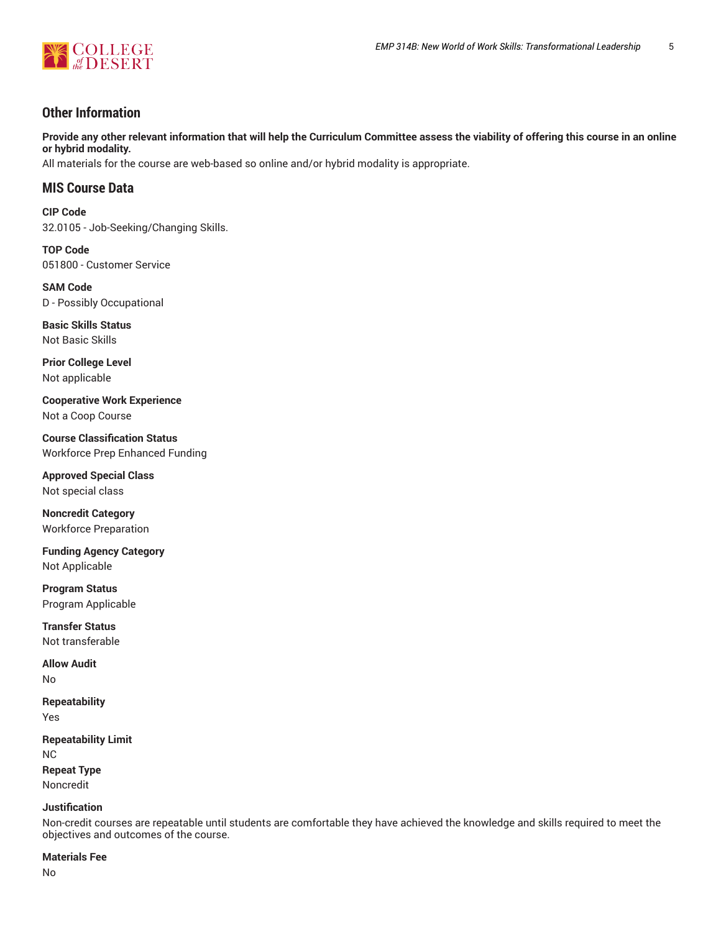

# **Other Information**

Provide any other relevant information that will help the Curriculum Committee assess the viability of offering this course in an online **or hybrid modality.**

All materials for the course are web-based so online and/or hybrid modality is appropriate.

# **MIS Course Data**

**CIP Code** 32.0105 - Job-Seeking/Changing Skills.

**TOP Code** 051800 - Customer Service

**SAM Code** D - Possibly Occupational

**Basic Skills Status** Not Basic Skills

**Prior College Level** Not applicable

**Cooperative Work Experience** Not a Coop Course

**Course Classification Status** Workforce Prep Enhanced Funding

**Approved Special Class** Not special class

**Noncredit Category** Workforce Preparation

**Funding Agency Category** Not Applicable

**Program Status** Program Applicable

**Transfer Status** Not transferable

**Allow Audit** No

**Repeatability** Yes

**Repeatability Limit** NC **Repeat Type** Noncredit

**Justification**

Non-credit courses are repeatable until students are comfortable they have achieved the knowledge and skills required to meet the objectives and outcomes of the course.

#### **Materials Fee**

No